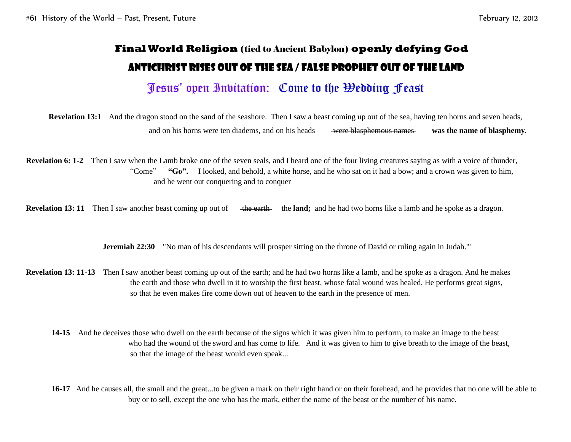## **Final World Religion** (tied to Ancient Babylon) **openly defying God** Antichrist rises out of the Sea / False Prophet out of the Land

## Jesus' open Invitation: Come to the Wedding Feast

**Revelation 13:1** And the dragon stood on the sand of the seashore. Then I saw a beast coming up out of the sea, having ten horns and seven heads, and on his horns were ten diadems, and on his heads were blasphemous names was the name of blasphemy.

**Revelation 6: 1-2** Then I saw when the Lamb broke one of the seven seals, and I heard one of the four living creatures saying as with a voice of thunder, "Come" "Go". I looked, and behold, a white horse, and he who sat on it had a bow; and a crown was given to him, and he went out conquering and to conquer

**Revelation 13:** 11 Then I saw another beast coming up out of the earth the land; and he had two horns like a lamb and he spoke as a dragon.

**Jeremiah 22:30** "No man of his descendants will prosper sitting on the throne of David or ruling again in Judah."

**Revelation 13: 11-13** Then I saw another beast coming up out of the earth; and he had two horns like a lamb, and he spoke as a dragon. And he makes the earth and those who dwell in it to worship the first beast, whose fatal wound was healed. He performs great signs, so that he even makes fire come down out of heaven to the earth in the presence of men.

**14-15** And he deceives those who dwell on the earth because of the signs which it was given him to perform, to make an image to the beast who had the wound of the sword and has come to life. And it was given to him to give breath to the image of the beast, so that the image of the beast would even speak...

**16-17** And he causes all, the small and the great...to be given a mark on their right hand or on their forehead, and he provides that no one will be able to buy or to sell, except the one who has the mark, either the name of the beast or the number of his name.